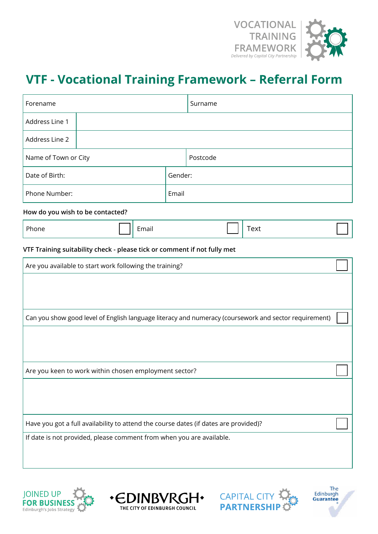

# **VTF - Vocational Training Framework – Referral Form**

| Forename                                                                                                                                                     |       | Surname |          |  |                                                                                                       |  |
|--------------------------------------------------------------------------------------------------------------------------------------------------------------|-------|---------|----------|--|-------------------------------------------------------------------------------------------------------|--|
| Address Line 1                                                                                                                                               |       |         |          |  |                                                                                                       |  |
| Address Line 2                                                                                                                                               |       |         |          |  |                                                                                                       |  |
| Name of Town or City                                                                                                                                         |       |         | Postcode |  |                                                                                                       |  |
| Date of Birth:                                                                                                                                               |       | Gender: |          |  |                                                                                                       |  |
| Phone Number:                                                                                                                                                |       | Email   |          |  |                                                                                                       |  |
| How do you wish to be contacted?                                                                                                                             |       |         |          |  |                                                                                                       |  |
| Phone                                                                                                                                                        | Email |         |          |  | <b>Text</b>                                                                                           |  |
| VTF Training suitability check - please tick or comment if not fully met                                                                                     |       |         |          |  |                                                                                                       |  |
| Are you available to start work following the training?                                                                                                      |       |         |          |  |                                                                                                       |  |
|                                                                                                                                                              |       |         |          |  |                                                                                                       |  |
|                                                                                                                                                              |       |         |          |  | Can you show good level of English language literacy and numeracy (coursework and sector requirement) |  |
| Are you keen to work within chosen employment sector?                                                                                                        |       |         |          |  |                                                                                                       |  |
| Have you got a full availability to attend the course dates (if dates are provided)?<br>If date is not provided, please comment from when you are available. |       |         |          |  |                                                                                                       |  |
|                                                                                                                                                              |       |         |          |  |                                                                                                       |  |